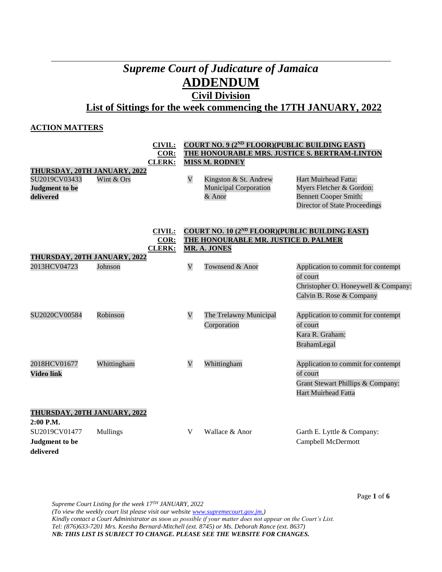# *Supreme Court of Judicature of Jamaica* **ADDENDUM**

# **Civil Division**

**List of Sittings for the week commencing the 17TH JANUARY, 2022**

# **ACTION MATTERS**

|                              | <b>CIVIL:</b>                | COURT NO. 9 (2 <sup>ND</sup> FLOOR)(PUBLIC BUILDING EAST) |                                                            |                                      |  |  |
|------------------------------|------------------------------|-----------------------------------------------------------|------------------------------------------------------------|--------------------------------------|--|--|
|                              | $COR$ :                      | THE HONOURABLE MRS. JUSTICE S. BERTRAM-LINTON             |                                                            |                                      |  |  |
|                              | <b>CLERK:</b>                |                                                           | <b>MISS M. RODNEY</b>                                      |                                      |  |  |
| THURSDAY, 20TH JANUARY, 2022 |                              |                                                           |                                                            |                                      |  |  |
| SU2019CV03433                | Wint & Ors                   | $\bar{\mathbf{V}}$                                        | Kingston & St. Andrew                                      | Hart Muirhead Fatta:                 |  |  |
| <b>Judgment</b> to be        |                              |                                                           | Municipal Corporation                                      | Myers Fletcher & Gordon:             |  |  |
| delivered                    |                              |                                                           | & Anor                                                     | <b>Bennett Cooper Smith:</b>         |  |  |
|                              |                              |                                                           |                                                            | <b>Director of State Proceedings</b> |  |  |
|                              | <b>CIVIL:</b>                |                                                           | COURT NO. 10 (2 <sup>ND</sup> FLOOR)(PUBLIC BUILDING EAST) |                                      |  |  |
|                              | COR:                         |                                                           | THE HONOURABLE MR. JUSTICE D. PALMER                       |                                      |  |  |
|                              | <b>CLERK:</b>                |                                                           | <b>MR. A. JONES</b>                                        |                                      |  |  |
| THURSDAY, 20TH JANUARY, 2022 |                              |                                                           |                                                            |                                      |  |  |
| 2013HCV04723                 | Johnson                      | $\overline{\mathsf{V}}$                                   | Townsend & Anor                                            | Application to commit for contempt   |  |  |
|                              |                              |                                                           |                                                            | of court                             |  |  |
|                              |                              |                                                           |                                                            | Christopher O. Honeywell & Company:  |  |  |
|                              |                              |                                                           |                                                            | Calvin B. Rose & Company             |  |  |
|                              |                              |                                                           |                                                            |                                      |  |  |
| SU2020CV00584                | Robinson                     | $\mathbf V$                                               | The Trelawny Municipal                                     | Application to commit for contempt   |  |  |
|                              |                              |                                                           | Corporation                                                | of court                             |  |  |
|                              |                              |                                                           |                                                            | Kara R. Graham:                      |  |  |
|                              |                              |                                                           |                                                            | BrahamLegal                          |  |  |
|                              |                              |                                                           |                                                            |                                      |  |  |
| 2018HCV01677                 | Whittingham                  | $\mathbf V$                                               | Whittingham                                                | Application to commit for contempt   |  |  |
| <b>Video link</b>            |                              |                                                           |                                                            | of court                             |  |  |
|                              |                              |                                                           |                                                            |                                      |  |  |
|                              |                              |                                                           |                                                            | Grant Stewart Phillips & Company:    |  |  |
|                              |                              |                                                           |                                                            | <b>Hart Muirhead Fatta</b>           |  |  |
|                              | THURSDAY, 20TH JANUARY, 2022 |                                                           |                                                            |                                      |  |  |
| 2:00 P.M.                    |                              |                                                           |                                                            |                                      |  |  |
| SU2019CV01477                | Mullings                     | V                                                         | Wallace & Anor                                             | Garth E. Lyttle & Company:           |  |  |
| <b>Judgment</b> to be        |                              |                                                           |                                                            | Campbell McDermott                   |  |  |
| delivered                    |                              |                                                           |                                                            |                                      |  |  |
|                              |                              |                                                           |                                                            |                                      |  |  |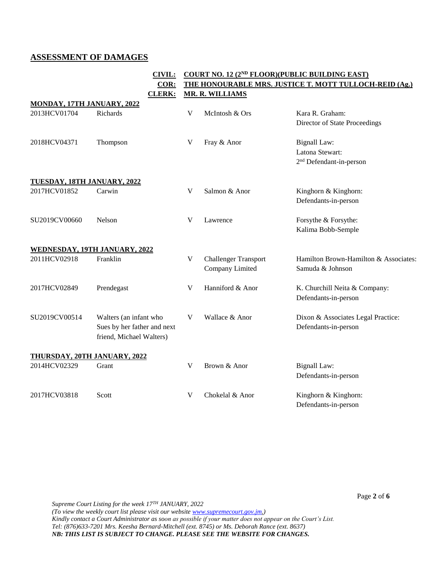# **ASSESSMENT OF DAMAGES**

|                             | <b>CIVIL:</b>                                                                     | COURT NO. 12 (2 <sup>ND</sup> FLOOR)(PUBLIC BUILDING EAST) |                                                |                                                                               |
|-----------------------------|-----------------------------------------------------------------------------------|------------------------------------------------------------|------------------------------------------------|-------------------------------------------------------------------------------|
|                             | COR:                                                                              |                                                            |                                                | THE HONOURABLE MRS. JUSTICE T. MOTT TULLOCH-REID (Ag.)                        |
| MONDAY, 17TH JANUARY, 2022  | <b>CLERK:</b>                                                                     |                                                            | <b>MR. R. WILLIAMS</b>                         |                                                                               |
| 2013HCV01704                | Richards                                                                          | V                                                          | McIntosh & Ors                                 | Kara R. Graham:<br>Director of State Proceedings                              |
| 2018HCV04371                | Thompson                                                                          | V                                                          | Fray & Anor                                    | <b>Bignall Law:</b><br>Latona Stewart:<br>2 <sup>nd</sup> Defendant-in-person |
| TUESDAY, 18TH JANUARY, 2022 |                                                                                   |                                                            |                                                |                                                                               |
| 2017HCV01852                | Carwin                                                                            | V                                                          | Salmon & Anor                                  | Kinghorn & Kinghorn:<br>Defendants-in-person                                  |
| SU2019CV00660               | Nelson                                                                            | V                                                          | Lawrence                                       | Forsythe & Forsythe:<br>Kalima Bobb-Semple                                    |
|                             | WEDNESDAY, 19TH JANUARY, 2022                                                     |                                                            |                                                |                                                                               |
| 2011HCV02918                | Franklin                                                                          | V                                                          | <b>Challenger Transport</b><br>Company Limited | Hamilton Brown-Hamilton & Associates:<br>Samuda & Johnson                     |
| 2017HCV02849                | Prendegast                                                                        | V                                                          | Hanniford & Anor                               | K. Churchill Neita & Company:<br>Defendants-in-person                         |
| SU2019CV00514               | Walters (an infant who<br>Sues by her father and next<br>friend, Michael Walters) | V                                                          | Wallace & Anor                                 | Dixon & Associates Legal Practice:<br>Defendants-in-person                    |
|                             | THURSDAY, 20TH JANUARY, 2022                                                      |                                                            |                                                |                                                                               |
| 2014HCV02329                | Grant                                                                             | V                                                          | Brown & Anor                                   | Bignall Law:<br>Defendants-in-person                                          |
| 2017HCV03818                | Scott                                                                             | V                                                          | Chokelal & Anor                                | Kinghorn & Kinghorn:<br>Defendants-in-person                                  |

*Supreme Court Listing for the week 17TH JANUARY, 2022 (To view the weekly court list please visit our websit[e www.supremecourt.gov.jm.](http://www.supremecourt.gov.jm/)) Kindly contact a Court Administrator as soon as possible if your matter does not appear on the Court's List. Tel: (876)633-7201 Mrs. Keesha Bernard-Mitchell (ext. 8745) or Ms. Deborah Rance (ext. 8637) NB: THIS LIST IS SUBJECT TO CHANGE. PLEASE SEE THE WEBSITE FOR CHANGES.*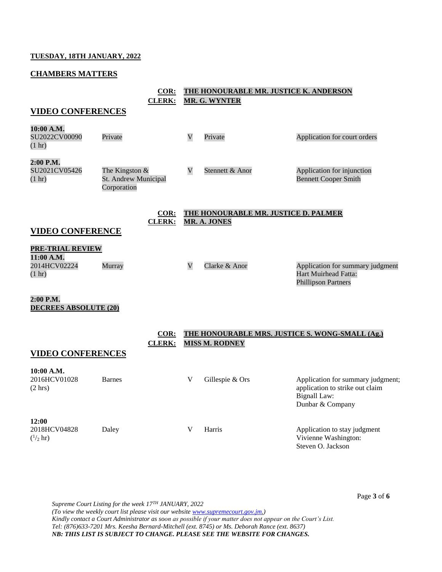## **TUESDAY, 18TH JANUARY, 2022**

# **CHAMBERS MATTERS**

|                                                                           | $COR$ :<br><b>CLERK:</b>                                |                         | THE HONOURABLE MR. JUSTICE K. ANDERSON<br><b>MR. G. WYNTER</b>           |                                                                                                                 |
|---------------------------------------------------------------------------|---------------------------------------------------------|-------------------------|--------------------------------------------------------------------------|-----------------------------------------------------------------------------------------------------------------|
| <b>VIDEO CONFERENCES</b>                                                  |                                                         |                         |                                                                          |                                                                                                                 |
| 10:00 A.M.<br>SU2022CV00090<br>$(1 \text{ hr})$                           | Private                                                 | $\mathbf V$             | Private                                                                  | Application for court orders                                                                                    |
| 2:00 P.M.<br>SU2021CV05426<br>$(1 \text{ hr})$                            | The Kingston $&$<br>St. Andrew Municipal<br>Corporation | $\mathbf V$             | Stennett & Anor                                                          | Application for injunction<br><b>Bennett Cooper Smith</b>                                                       |
| <b>VIDEO CONFERENCE</b>                                                   | COR:<br><b>CLERK:</b>                                   |                         | THE HONOURABLE MR. JUSTICE D. PALMER<br><b>MR. A. JONES</b>              |                                                                                                                 |
| <b>PRE-TRIAL REVIEW</b><br>11:00 A.M.<br>2014HCV02224<br>$(1 \text{ hr})$ | Murray                                                  | $\overline{\mathsf{V}}$ | Clarke & Anor                                                            | Application for summary judgment<br>Hart Muirhead Fatta:<br><b>Phillipson Partners</b>                          |
| 2:00 P.M.<br><b>DECREES ABSOLUTE (20)</b>                                 |                                                         |                         |                                                                          |                                                                                                                 |
| <b>VIDEO CONFERENCES</b>                                                  | $COR$ :<br><b>CLERK:</b>                                |                         | THE HONOURABLE MRS. JUSTICE S. WONG-SMALL (Ag.)<br><b>MISS M. RODNEY</b> |                                                                                                                 |
| 10:00 A.M.<br>2016HCV01028<br>$(2 \text{ hrs})$                           | <b>Barnes</b>                                           | V                       | Gillespie & Ors                                                          | Application for summary judgment;<br>application to strike out claim<br><b>Bignall Law:</b><br>Dunbar & Company |
| 12:00<br>2018HCV04828<br>$\binom{1}{2}$ hr)                               | Daley                                                   | V                       | Harris                                                                   | Application to stay judgment<br>Vivienne Washington:<br>Steven O. Jackson                                       |

*Supreme Court Listing for the week 17TH JANUARY, 2022 (To view the weekly court list please visit our websit[e www.supremecourt.gov.jm.](http://www.supremecourt.gov.jm/)) Kindly contact a Court Administrator as soon as possible if your matter does not appear on the Court's List. Tel: (876)633-7201 Mrs. Keesha Bernard-Mitchell (ext. 8745) or Ms. Deborah Rance (ext. 8637) NB: THIS LIST IS SUBJECT TO CHANGE. PLEASE SEE THE WEBSITE FOR CHANGES.*

Page **3** of **6**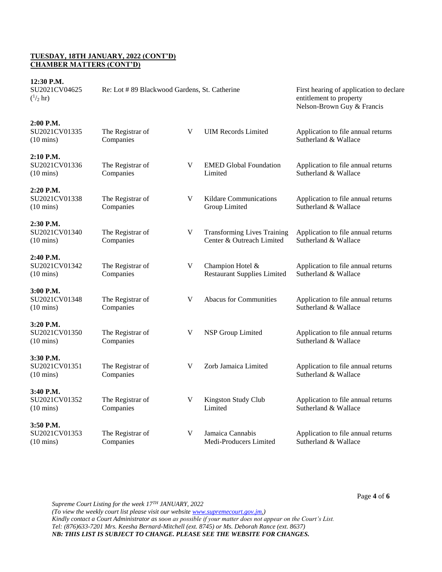## **TUESDAY, 18TH JANUARY, 2022 (CONT'D) CHAMBER MATTERS (CONT'D)**

| 12:30 P.M.<br>SU2021CV04625<br>$\binom{1}{2}$ hr) | Re: Lot #89 Blackwood Gardens, St. Catherine |   |                                                                 | First hearing of application to declare<br>entitlement to property<br>Nelson-Brown Guy & Francis |
|---------------------------------------------------|----------------------------------------------|---|-----------------------------------------------------------------|--------------------------------------------------------------------------------------------------|
| 2:00 P.M.<br>SU2021CV01335<br>$(10 \text{ mins})$ | The Registrar of<br>Companies                | V | <b>UIM Records Limited</b>                                      | Application to file annual returns<br>Sutherland & Wallace                                       |
| 2:10 P.M.<br>SU2021CV01336<br>$(10 \text{ mins})$ | The Registrar of<br>Companies                | V | <b>EMED Global Foundation</b><br>Limited                        | Application to file annual returns<br>Sutherland & Wallace                                       |
| 2:20 P.M.<br>SU2021CV01338<br>$(10 \text{ mins})$ | The Registrar of<br>Companies                | V | <b>Kildare Communications</b><br>Group Limited                  | Application to file annual returns<br>Sutherland & Wallace                                       |
| 2:30 P.M.<br>SU2021CV01340<br>$(10 \text{ mins})$ | The Registrar of<br>Companies                | V | <b>Transforming Lives Training</b><br>Center & Outreach Limited | Application to file annual returns<br>Sutherland & Wallace                                       |
| 2:40 P.M.<br>SU2021CV01342<br>$(10 \text{ mins})$ | The Registrar of<br>Companies                | V | Champion Hotel &<br><b>Restaurant Supplies Limited</b>          | Application to file annual returns<br>Sutherland & Wallace                                       |
| 3:00 P.M.<br>SU2021CV01348<br>$(10 \text{ mins})$ | The Registrar of<br>Companies                | V | <b>Abacus for Communities</b>                                   | Application to file annual returns<br>Sutherland & Wallace                                       |
| 3:20 P.M.<br>SU2021CV01350<br>$(10 \text{ mins})$ | The Registrar of<br>Companies                | V | NSP Group Limited                                               | Application to file annual returns<br>Sutherland & Wallace                                       |
| 3:30 P.M.<br>SU2021CV01351<br>$(10 \text{ mins})$ | The Registrar of<br>Companies                | V | Zorb Jamaica Limited                                            | Application to file annual returns<br>Sutherland & Wallace                                       |
| 3:40 P.M.<br>SU2021CV01352<br>$(10 \text{ mins})$ | The Registrar of<br>Companies                | V | Kingston Study Club<br>Limited                                  | Application to file annual returns<br>Sutherland & Wallace                                       |
| 3:50 P.M.<br>SU2021CV01353<br>$(10 \text{ mins})$ | The Registrar of<br>Companies                | V | Jamaica Cannabis<br>Medi-Producers Limited                      | Application to file annual returns<br>Sutherland & Wallace                                       |

*Supreme Court Listing for the week 17TH JANUARY, 2022 (To view the weekly court list please visit our websit[e www.supremecourt.gov.jm.](http://www.supremecourt.gov.jm/)) Kindly contact a Court Administrator as soon as possible if your matter does not appear on the Court's List. Tel: (876)633-7201 Mrs. Keesha Bernard-Mitchell (ext. 8745) or Ms. Deborah Rance (ext. 8637) NB: THIS LIST IS SUBJECT TO CHANGE. PLEASE SEE THE WEBSITE FOR CHANGES.*

Page **4** of **6**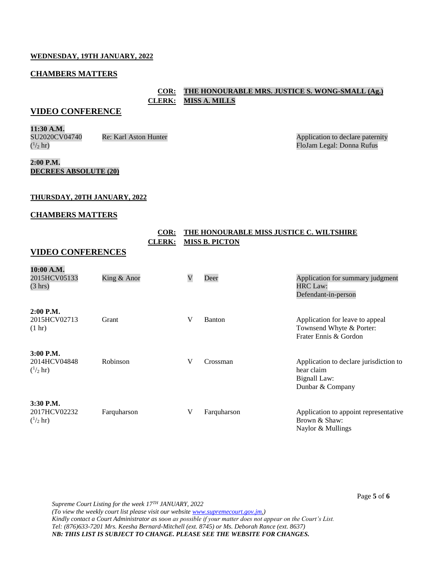#### **WEDNESDAY, 19TH JANUARY, 2022**

#### **CHAMBERS MATTERS**

# **COR: THE HONOURABLE MRS. JUSTICE S. WONG-SMALL (Ag.) CLERK: MISS A. MILLS**

# **VIDEO CONFERENCE**

**11:30 A.M.** SU2020CV04740  $(^{1}/_{2}$  hr)

Re: Karl Aston Hunter Application to declare paternity FloJam Legal: Donna Rufus

## **2:00 P.M. DECREES ABSOLUTE (20)**

#### **THURSDAY, 20TH JANUARY, 2022**

#### **CHAMBERS MATTERS**

## **COR: THE HONOURABLE MISS JUSTICE C. WILTSHIRE CLERK: MISS B. PICTON**

## **VIDEO CONFERENCES**

| 10:00 A.M.<br>2015HCV05133<br>(3 hr)              | King & Anor | V | Deer        | Application for summary judgment<br><b>HRC Law:</b><br>Defendant-in-person               |
|---------------------------------------------------|-------------|---|-------------|------------------------------------------------------------------------------------------|
| $2:00$ P.M.<br>2015HCV02713<br>$(1 \text{ hr})$   | Grant       | V | Banton      | Application for leave to appeal<br>Townsend Whyte & Porter:<br>Frater Ennis & Gordon     |
| $3:00$ P.M.<br>2014HCV04848<br>$(^{1}/_{2}$ hr)   | Robinson    | V | Crossman    | Application to declare jurisdiction to<br>hear claim<br>Bignall Law:<br>Dunbar & Company |
| $3:30$ P.M.<br>2017HCV02232<br>$\binom{1}{2}$ hr) | Farquharson | V | Farquharson | Application to appoint representative<br>Brown & Shaw:<br>Naylor & Mullings              |

*Supreme Court Listing for the week 17TH JANUARY, 2022 (To view the weekly court list please visit our websit[e www.supremecourt.gov.jm.](http://www.supremecourt.gov.jm/)) Kindly contact a Court Administrator as soon as possible if your matter does not appear on the Court's List. Tel: (876)633-7201 Mrs. Keesha Bernard-Mitchell (ext. 8745) or Ms. Deborah Rance (ext. 8637) NB: THIS LIST IS SUBJECT TO CHANGE. PLEASE SEE THE WEBSITE FOR CHANGES.*

Page **5** of **6**